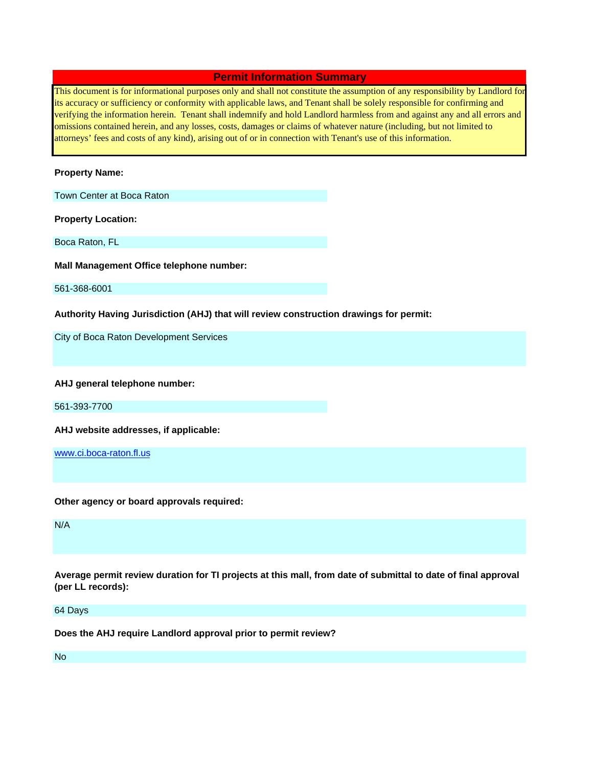## **Permit Information Summary**

This document is for informational purposes only and shall not constitute the assumption of any responsibility by Landlord for its accuracy or sufficiency or conformity with applicable laws, and Tenant shall be solely responsible for confirming and verifying the information herein. Tenant shall indemnify and hold Landlord harmless from and against any and all errors and omissions contained herein, and any losses, costs, damages or claims of whatever nature (including, but not limited to attorneys' fees and costs of any kind), arising out of or in connection with Tenant's use of this information.

## **Property Name:**

Town Center at Boca Raton

**Property Location:**

Boca Raton, FL

**Mall Management Office telephone number:**

561-368-6001

**Authority Having Jurisdiction (AHJ) that will review construction drawings for permit:**

City of Boca Raton Development Services

**AHJ general telephone number:**

561-393-7700

**AHJ website addresses, if applicable:**

www.ci.boca-raton.fl.us

**Other agency or board approvals required:**

N/A

**Average permit review duration for TI projects at this mall, from date of submittal to date of final approval (per LL records):**

64 Days

**Does the AHJ require Landlord approval prior to permit review?**

No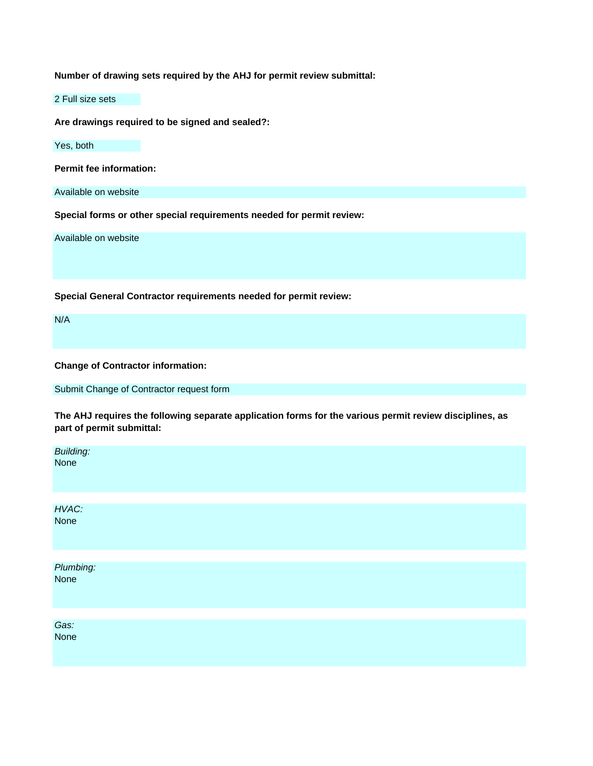**Number of drawing sets required by the AHJ for permit review submittal:**

2 Full size sets

**Are drawings required to be signed and sealed?:**

Yes, both

**Permit fee information:**

Available on website

**Special forms or other special requirements needed for permit review:**

Available on website

**Special General Contractor requirements needed for permit review:**

N/A

**Change of Contractor information:**

Submit Change of Contractor request form

**The AHJ requires the following separate application forms for the various permit review disciplines, as part of permit submittal:**

| Building:<br>None |  |  |
|-------------------|--|--|
|                   |  |  |
| HVAC:<br>None     |  |  |
|                   |  |  |
| Plumbing:<br>None |  |  |
|                   |  |  |
| Gas:<br>None      |  |  |
|                   |  |  |